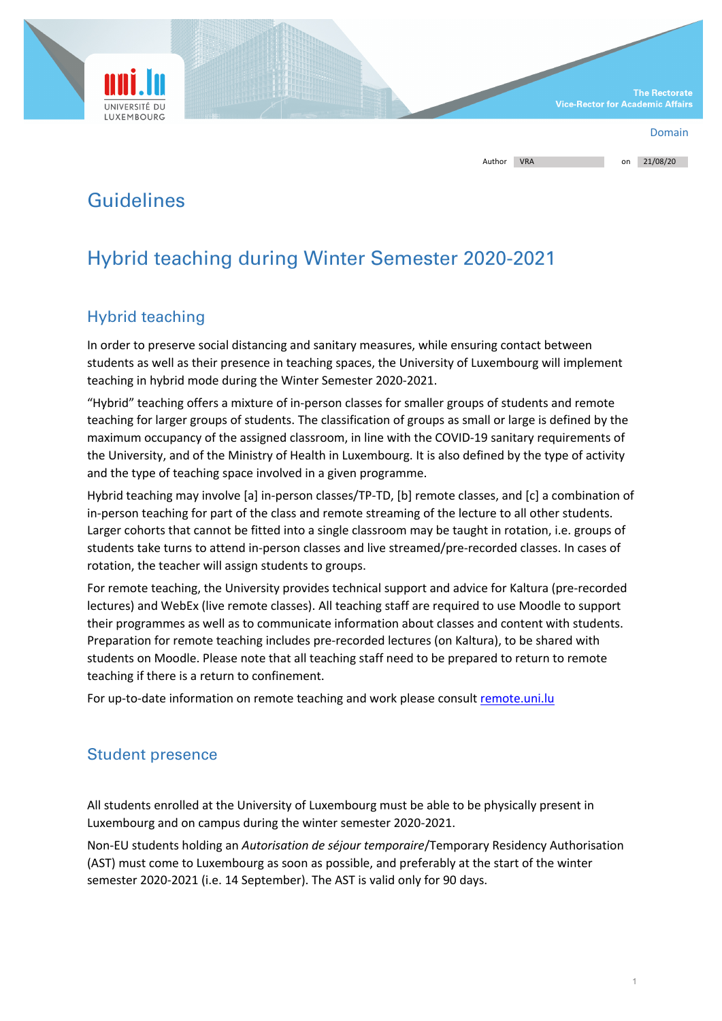

| Author | <b>VRA</b> | on | 21/08/20 |
|--------|------------|----|----------|
|        |            |    |          |

## Guidelines

# Hybrid teaching during Winter Semester 2020-2021

## Hybrid teaching

In order to preserve social distancing and sanitary measures, while ensuring contact between students as well as their presence in teaching spaces, the University of Luxembourg will implement teaching in hybrid mode during the Winter Semester 2020-2021.

"Hybrid" teaching offers a mixture of in-person classes for smaller groups of students and remote teaching for larger groups of students. The classification of groups as small or large is defined by the maximum occupancy of the assigned classroom, in line with the COVID-19 sanitary requirements of the University, and of the Ministry of Health in Luxembourg. It is also defined by the type of activity and the type of teaching space involved in a given programme.

Hybrid teaching may involve [a] in-person classes/TP-TD, [b] remote classes, and [c] a combination of in-person teaching for part of the class and remote streaming of the lecture to all other students. Larger cohorts that cannot be fitted into a single classroom may be taught in rotation, i.e. groups of students take turns to attend in-person classes and live streamed/pre-recorded classes. In cases of rotation, the teacher will assign students to groups.

For remote teaching, the University provides technical support and advice for Kaltura (pre-recorded lectures) and WebEx (live remote classes). All teaching staff are required to use Moodle to support their programmes as well as to communicate information about classes and content with students. Preparation for remote teaching includes pre-recorded lectures (on Kaltura), to be shared with students on Moodle. Please note that all teaching staff need to be prepared to return to remote teaching if there is a return to confinement.

For up-to-date information on remote teaching and work please consult remote.uni.lu

#### Student presence

All students enrolled at the University of Luxembourg must be able to be physically present in Luxembourg and on campus during the winter semester 2020-2021.

Non-EU students holding an *Autorisation de séjour temporaire*/Temporary Residency Authorisation (AST) must come to Luxembourg as soon as possible, and preferably at the start of the winter semester 2020-2021 (i.e. 14 September). The AST is valid only for 90 days.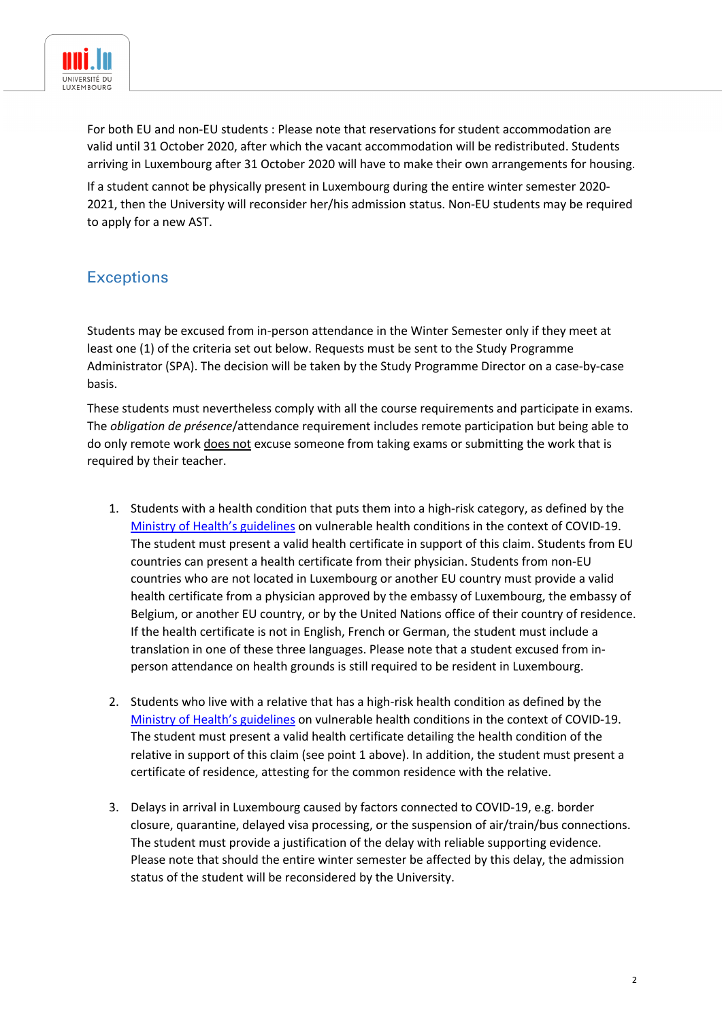

For both EU and non-EU students : Please note that reservations for student accommodation are valid until 31 October 2020, after which the vacant accommodation will be redistributed. Students arriving in Luxembourg after 31 October 2020 will have to make their own arrangements for housing.

If a student cannot be physically present in Luxembourg during the entire winter semester 2020- 2021, then the University will reconsider her/his admission status. Non-EU students may be required to apply for a new AST.

## **Exceptions**

Students may be excused from in-person attendance in the Winter Semester only if they meet at least one (1) of the criteria set out below. Requests must be sent to the Study Programme Administrator (SPA). The decision will be taken by the Study Programme Director on a case-by-case basis.

These students must nevertheless comply with all the course requirements and participate in exams. The *obligation de présence*/attendance requirement includes remote participation but being able to do only remote work does not excuse someone from taking exams or submitting the work that is required by their teacher.

- 1. Students with a health condition that puts them into a high-risk category, as defined by the Ministry of Health's guidelines on vulnerable health conditions in the context of COVID-19. The student must present a valid health certificate in support of this claim. Students from EU countries can present a health certificate from their physician. Students from non-EU countries who are not located in Luxembourg or another EU country must provide a valid health certificate from a physician approved by the embassy of Luxembourg, the embassy of Belgium, or another EU country, or by the United Nations office of their country of residence. If the health certificate is not in English, French or German, the student must include a translation in one of these three languages. Please note that a student excused from inperson attendance on health grounds is still required to be resident in Luxembourg.
- 2. Students who live with a relative that has a high-risk health condition as defined by the Ministry of Health's guidelines on vulnerable health conditions in the context of COVID-19. The student must present a valid health certificate detailing the health condition of the relative in support of this claim (see point 1 above). In addition, the student must present a certificate of residence, attesting for the common residence with the relative.
- 3. Delays in arrival in Luxembourg caused by factors connected to COVID-19, e.g. border closure, quarantine, delayed visa processing, or the suspension of air/train/bus connections. The student must provide a justification of the delay with reliable supporting evidence. Please note that should the entire winter semester be affected by this delay, the admission status of the student will be reconsidered by the University.